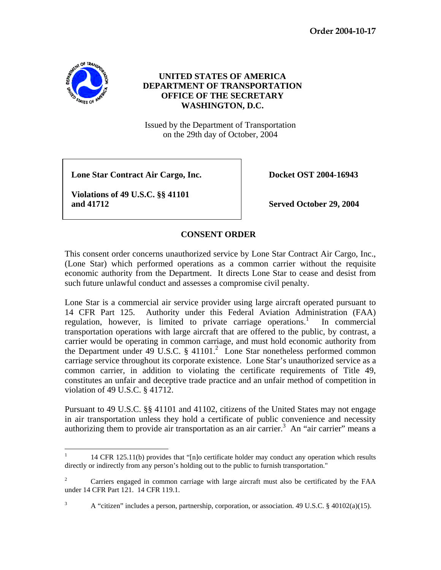**Order 2004-10-17** 



## **UNITED STATES OF AMERICA DEPARTMENT OF TRANSPORTATION OFFICE OF THE SECRETARY WASHINGTON, D.C.**

Issued by the Department of Transportation on the 29th day of October, 2004

 **Lone Star Contract Air Cargo, Inc. Docket OST 2004-16943**

 **Violations of 49 U.S.C. §§ 41101 and 41712 Served October 29, 2004** 

## **CONSENT ORDER**

This consent order concerns unauthorized service by Lone Star Contract Air Cargo, Inc., (Lone Star) which performed operations as a common carrier without the requisite economic authority from the Department. It directs Lone Star to cease and desist from such future unlawful conduct and assesses a compromise civil penalty.

Lone Star is a commercial air service provider using large aircraft operated pursuant to 14 CFR Part 125. Authority under this Federal Aviation Administration (FAA) regulation, however, is limited to private carriage operations.<sup>1</sup> In commercial transportation operations with large aircraft that are offered to the public, by contrast, a carrier would be operating in common carriage, and must hold economic authority from the Department under 49 U.S.C.  $\S$  41101.<sup>2</sup> Lone Star nonetheless performed common carriage service throughout its corporate existence. Lone Star's unauthorized service as a common carrier, in addition to violating the certificate requirements of Title 49, constitutes an unfair and deceptive trade practice and an unfair method of competition in violation of 49 U.S.C. § 41712.

Pursuant to 49 U.S.C. §§ 41101 and 41102, citizens of the United States may not engage in air transportation unless they hold a certificate of public convenience and necessity authorizing them to provide air transportation as an air carrier.<sup>3</sup> An "air carrier" means a

 $\frac{1}{1}$ 14 CFR 125.11(b) provides that " $[n]$ o certificate holder may conduct any operation which results directly or indirectly from any person's holding out to the public to furnish transportation."

<sup>2</sup> Carriers engaged in common carriage with large aircraft must also be certificated by the FAA under 14 CFR Part 121. 14 CFR 119.1.

<sup>3</sup> A "citizen" includes a person, partnership, corporation, or association. 49 U.S.C. § 40102(a)(15).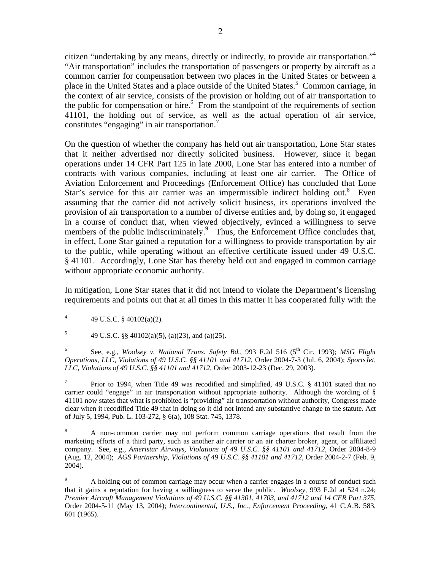citizen "undertaking by any means, directly or indirectly, to provide air transportation."<sup>4</sup> "Air transportation" includes the transportation of passengers or property by aircraft as a common carrier for compensation between two places in the United States or between a place in the United States and a place outside of the United States.<sup>5</sup> Common carriage, in the context of air service, consists of the provision or holding out of air transportation to the public for compensation or hire.<sup>6</sup> From the standpoint of the requirements of section 41101, the holding out of service, as well as the actual operation of air service, constitutes "engaging" in air transportation. $^7$ 

On the question of whether the company has held out air transportation, Lone Star states that it neither advertised nor directly solicited business. However, since it began operations under 14 CFR Part 125 in late 2000, Lone Star has entered into a number of contracts with various companies, including at least one air carrier. The Office of Aviation Enforcement and Proceedings (Enforcement Office) has concluded that Lone Star's service for this air carrier was an impermissible indirect holding out.<sup>8</sup> Even assuming that the carrier did not actively solicit business, its operations involved the provision of air transportation to a number of diverse entities and, by doing so, it engaged in a course of conduct that, when viewed objectively, evinced a willingness to serve members of the public indiscriminately.<sup>9</sup> Thus, the Enforcement Office concludes that, in effect, Lone Star gained a reputation for a willingness to provide transportation by air to the public, while operating without an effective certificate issued under 49 U.S.C. § 41101. Accordingly, Lone Star has thereby held out and engaged in common carriage without appropriate economic authority.

In mitigation, Lone Star states that it did not intend to violate the Department's licensing requirements and points out that at all times in this matter it has cooperated fully with the

5 49 U.S.C. §§ 40102(a)(5), (a)(23), and (a)(25).

6 See, e.g., *Woolsey v. National Trans. Safety Bd.*, 993 F.2d 516 (5<sup>th</sup> Cir. 1993); *MSG Flight Operations, LLC, Violations of 49 U.S.C. §§ 41101 and 41712,* Order 2004-7-3 (Jul. 6, 2004); *SportsJet, LLC, Violations of 49 U.S.C. §§ 41101 and 41712,* Order 2003-12-23 (Dec. 29, 2003).

7 Prior to 1994, when Title 49 was recodified and simplified, 49 U.S.C. § 41101 stated that no carrier could "engage" in air transportation without appropriate authority. Although the wording of § 41101 now states that what is prohibited is "providing" air transportation without authority, Congress made clear when it recodified Title 49 that in doing so it did not intend any substantive change to the statute. Act of July 5, 1994, Pub. L. 103-272, § 6(a), 108 Stat. 745, 1378.

8 A non-common carrier may not perform common carriage operations that result from the marketing efforts of a third party, such as another air carrier or an air charter broker, agent, or affiliated company. See, e.g., *Ameristar Airways, Violations of 49 U.S.C. §§ 41101 and 41712,* Order 2004-8-9 (Aug. 12, 2004); *AGS Partnership, Violations of 49 U.S.C. §§ 41101 and 41712,* Order 2004-2-7 (Feb. 9, 2004).

9 A holding out of common carriage may occur when a carrier engages in a course of conduct such that it gains a reputation for having a willingness to serve the public. *Woolsey,* 993 F.2d at 524 n.24; *Premier Aircraft Management Violations of 49 U.S.C. §§ 41301, 41703, and 41712 and 14 CFR Part 375,* Order 2004-5-11 (May 13, 2004); *Intercontinental, U.S., Inc., Enforcement Proceeding*, 41 C.A.B. 583, 601 (1965).

 $\frac{1}{4}$ 49 U.S.C. § 40102(a)(2).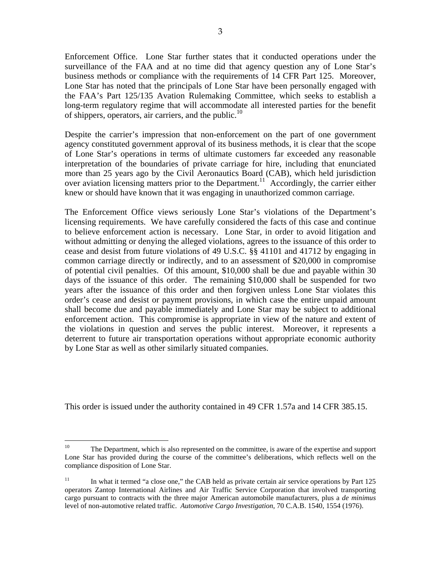Enforcement Office. Lone Star further states that it conducted operations under the surveillance of the FAA and at no time did that agency question any of Lone Star's business methods or compliance with the requirements of 14 CFR Part 125. Moreover, Lone Star has noted that the principals of Lone Star have been personally engaged with the FAA's Part 125/135 Avation Rulemaking Committee, which seeks to establish a long-term regulatory regime that will accommodate all interested parties for the benefit of shippers, operators, air carriers, and the public. $^{10}$ 

Despite the carrier's impression that non-enforcement on the part of one government agency constituted government approval of its business methods, it is clear that the scope of Lone Star's operations in terms of ultimate customers far exceeded any reasonable interpretation of the boundaries of private carriage for hire, including that enunciated more than 25 years ago by the Civil Aeronautics Board (CAB), which held jurisdiction over aviation licensing matters prior to the Department.<sup>11</sup> Accordingly, the carrier either knew or should have known that it was engaging in unauthorized common carriage.

The Enforcement Office views seriously Lone Star's violations of the Department's licensing requirements. We have carefully considered the facts of this case and continue to believe enforcement action is necessary. Lone Star, in order to avoid litigation and without admitting or denying the alleged violations, agrees to the issuance of this order to cease and desist from future violations of 49 U.S.C. §§ 41101 and 41712 by engaging in common carriage directly or indirectly, and to an assessment of \$20,000 in compromise of potential civil penalties. Of this amount, \$10,000 shall be due and payable within 30 days of the issuance of this order. The remaining \$10,000 shall be suspended for two years after the issuance of this order and then forgiven unless Lone Star violates this order's cease and desist or payment provisions, in which case the entire unpaid amount shall become due and payable immediately and Lone Star may be subject to additional enforcement action. This compromise is appropriate in view of the nature and extent of the violations in question and serves the public interest. Moreover, it represents a deterrent to future air transportation operations without appropriate economic authority by Lone Star as well as other similarly situated companies.

This order is issued under the authority contained in 49 CFR 1.57a and 14 CFR 385.15.

 $10\,$ The Department, which is also represented on the committee, is aware of the expertise and support Lone Star has provided during the course of the committee's deliberations, which reflects well on the compliance disposition of Lone Star.

 $11$  In what it termed "a close one," the CAB held as private certain air service operations by Part 125 operators Zantop International Airlines and Air Traffic Service Corporation that involved transporting cargo pursuant to contracts with the three major American automobile manufacturers, plus a *de minimus* level of non-automotive related traffic. *Automotive Cargo Investigation*, 70 C.A.B. 1540, 1554 (1976).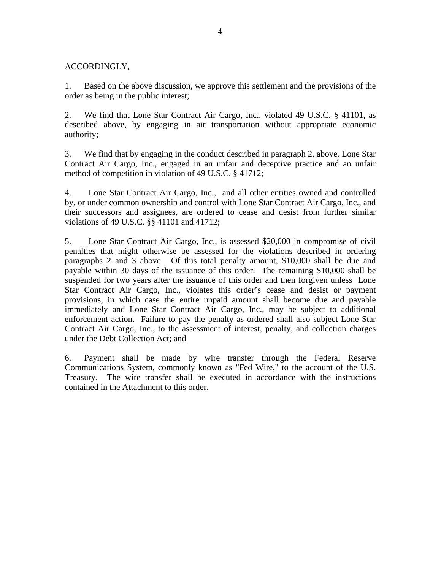## ACCORDINGLY,

1. Based on the above discussion, we approve this settlement and the provisions of the order as being in the public interest;

2. We find that Lone Star Contract Air Cargo, Inc., violated 49 U.S.C. § 41101, as described above, by engaging in air transportation without appropriate economic authority;

3. We find that by engaging in the conduct described in paragraph 2, above, Lone Star Contract Air Cargo, Inc., engaged in an unfair and deceptive practice and an unfair method of competition in violation of 49 U.S.C. § 41712;

4. Lone Star Contract Air Cargo, Inc., and all other entities owned and controlled by, or under common ownership and control with Lone Star Contract Air Cargo, Inc., and their successors and assignees, are ordered to cease and desist from further similar violations of 49 U.S.C. §§ 41101 and 41712;

5. Lone Star Contract Air Cargo, Inc., is assessed \$20,000 in compromise of civil penalties that might otherwise be assessed for the violations described in ordering paragraphs 2 and 3 above. Of this total penalty amount, \$10,000 shall be due and payable within 30 days of the issuance of this order. The remaining \$10,000 shall be suspended for two years after the issuance of this order and then forgiven unless Lone Star Contract Air Cargo, Inc., violates this order's cease and desist or payment provisions, in which case the entire unpaid amount shall become due and payable immediately and Lone Star Contract Air Cargo, Inc., may be subject to additional enforcement action. Failure to pay the penalty as ordered shall also subject Lone Star Contract Air Cargo, Inc., to the assessment of interest, penalty, and collection charges under the Debt Collection Act; and

6. Payment shall be made by wire transfer through the Federal Reserve Communications System, commonly known as "Fed Wire," to the account of the U.S. Treasury. The wire transfer shall be executed in accordance with the instructions contained in the Attachment to this order.